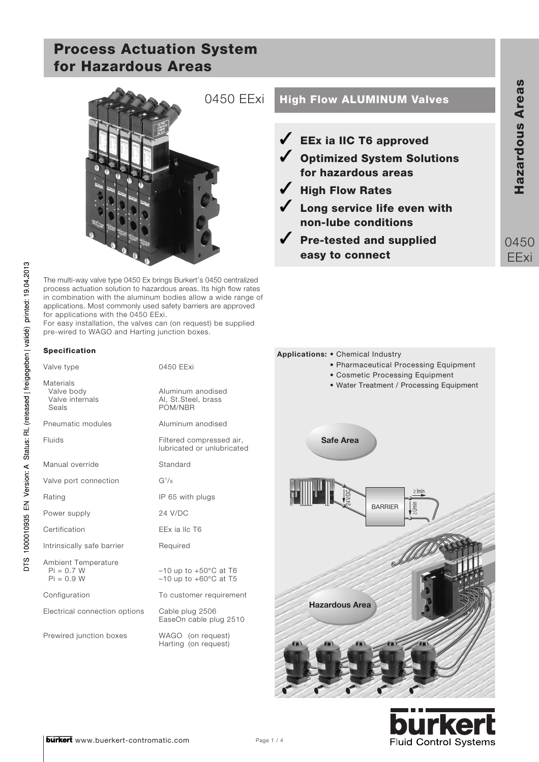

The multi-way valve type 0450 Ex brings Burkert's 0450 centralized process actuation solution to hazardous areas. Its high flow rates in combination with the aluminum bodies allow a wide range of applications. Most commonly used safety barriers are approved for applications with the 0450 EExi.

For easy installation, the valves can (on request) be supplied pre-wired to WAGO and Harting junction boxes.

#### **Specification**

DTS 1000010935 EN Version: A Status: RL (released | freigegeben | validé) printed: 19.04.2013

| Valve type                                          | 0450 EExi                                                              |     |
|-----------------------------------------------------|------------------------------------------------------------------------|-----|
| Materials<br>Valve body<br>Valve internals<br>Seals | Aluminum anodised<br>Al, St.Steel, brass<br>POM/NBR                    |     |
| Pneumatic modules                                   | Aluminum anodised                                                      |     |
| Fluids                                              | Filtered compressed air,<br>lubricated or unlubricated                 |     |
| Manual override                                     | Standard                                                               |     |
| Valve port connection                               | G <sup>1</sup> /8                                                      |     |
| Rating                                              | IP 65 with plugs                                                       |     |
| Power supply                                        | 24 V/DC                                                                |     |
| Certification                                       | EEx ia IIc T6                                                          |     |
| Intrinsically safe barrier                          | Required                                                               |     |
| Ambient Temperature<br>$Pi = 0.7 W$<br>$Pi = 0.9 W$ | $-10$ up to $+50^{\circ}$ C at T6<br>$-10$ up to $+60^{\circ}$ C at T5 |     |
| Configuration                                       | To customer requirement                                                |     |
| Electrical connection options                       | Cable plug 2506<br>EaseOn cable plug 2510                              | Haz |
| Prewired junction boxes                             | WAGO (on request)<br>Harting (on request)                              | 眉   |

# 0450 EExi **High Flow ALUMINUM Valves**

**EEx ia IIC T6 approved Optimized System Solutions for hazardous areas High Flow Rates Long service life even with**

**non-lube conditions**

**Pre-tested and supplied easy to connect**

0450 EExi



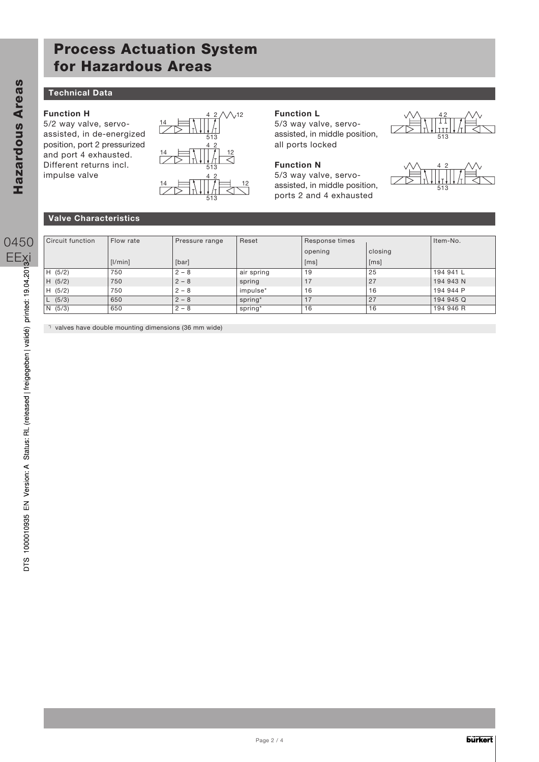### **Technical Data**

### **Function H**

5/2 way valve, servoassisted, in de-energized position, port 2 pressurized and port 4 exhausted. Different returns incl. impulse valve



### **Function L**

5/3 way valve, servoassisted, in middle position, all ports locked



5/3 way valve, servoassisted, in middle position, ports 2 and 4 exhausted





#### **Valve Characteristics**

| Circuit function | Flow rate | Pressure range | Reset      | Response times |         | Item-No.  |  |  |
|------------------|-----------|----------------|------------|----------------|---------|-----------|--|--|
|                  |           |                |            | opening        | closing |           |  |  |
|                  | [1/min]   | [bar]          |            | [ms]           | [ms]    |           |  |  |
| H (5/2)          | 750       | $2 - 8$        | air spring | 19             | 25      | 194 941 L |  |  |
| H (5/2)          | 750       | $2 - 8$        | spring     | 17             | 27      | 194 943 N |  |  |
| H (5/2)          | 750       | $2 - 8$        | impulse*   | 16             | 16      | 194 944 P |  |  |
| L (5/3)          | 650       | $2 - 8$        | spring*    | 17             | 27      | 194 945 Q |  |  |
| N(5/3)           | 650       | $2 - 8$        | spring*    | 16             | 16      | 194 946 R |  |  |

\*) valves have double mounting dimensions (36 mm wide)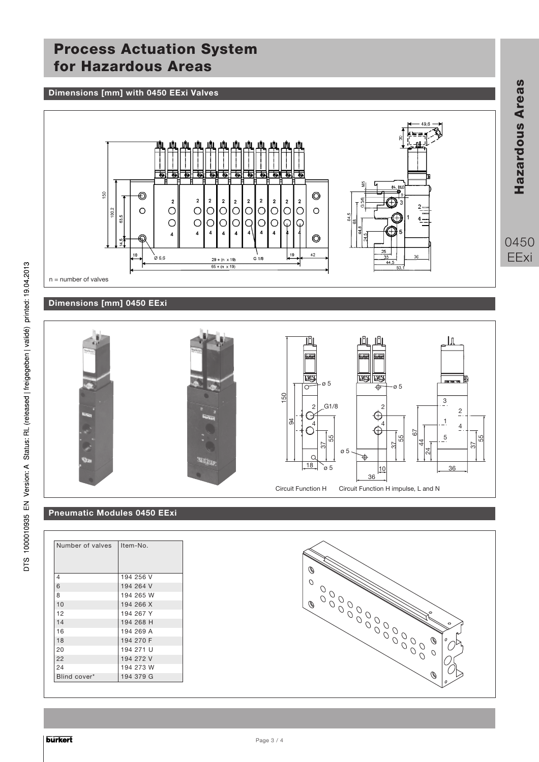#### **Dimensions [mm] with 0450 EExi Valves**



### **Dimensions [mm] 0450 EExi**



## **Pneumatic Modules 0450 EExi**

| Number of valves | Item-No.  |
|------------------|-----------|
|                  |           |
| $\overline{4}$   | 194 256 V |
| 6                | 194 264 V |
| 8                | 194 265 W |
| 10               | 194 266 X |
| 12               | 194 267 Y |
| 14               | 194 268 H |
| 16               | 194 269 A |
| 18               | 194 270 F |
| 20               | 194 271 U |
| 22               | 194 272 V |
| 24               | 194 273 W |
| Blind cover*     | 194 379 G |



**Hazardous Areas**

Hazardous Areas

0450 EExi